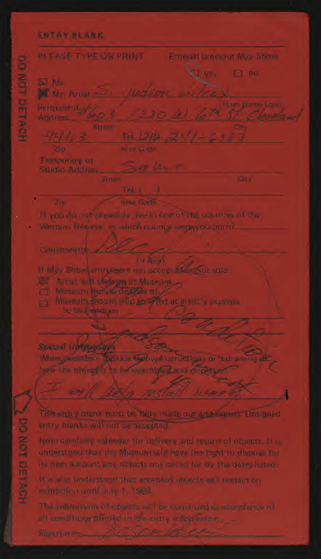## **ENTRY REAME**

DO NOT DETACH

PLEASE TYPE OR PRINT **Enterett previous May Show**  $\Box$  no **KIM** M Mr Artist Permanent al-Temporary or Studio Address Tel. L If you do not intesembly live in one of the countrys of the Western Reserve, in which county wete you born?. Callstromtoc Ni Anvi IF May Showlent before tros accept from not cold. Artist will ofelogin at Museum Mosaum Brefild Tisselle of 20 Miseum, filould ship terriffist at artist's expense to this dealiess: Special Listencoups When on extery in flid. Eslow instructives or a drawing have the ableates to be succided and displays **DOM:** This ettiny islank must be hilly made out and summit. Unsigned

entry bianks will not be autented.

Note carefully extender for delivery and reduct of objects. It is understood that the Museum will have the right to dispose for its one account any objects not salled for by the dates listed.

It is also understood that accepted intipacts will regrain on schibition until July 1, 1984.

all conditions principl in the entry information.

**SPONDED ACK**